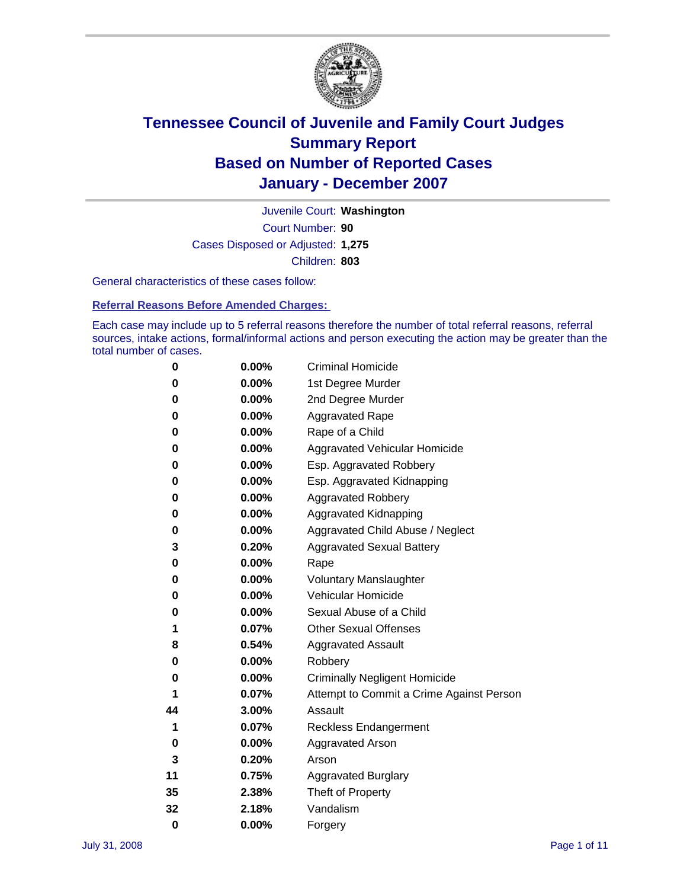

Court Number: **90** Juvenile Court: **Washington** Cases Disposed or Adjusted: **1,275** Children: **803**

General characteristics of these cases follow:

**Referral Reasons Before Amended Charges:** 

Each case may include up to 5 referral reasons therefore the number of total referral reasons, referral sources, intake actions, formal/informal actions and person executing the action may be greater than the total number of cases.

| 0  | $0.00\%$ | <b>Criminal Homicide</b>                 |
|----|----------|------------------------------------------|
| 0  | 0.00%    | 1st Degree Murder                        |
| 0  | $0.00\%$ | 2nd Degree Murder                        |
| 0  | 0.00%    | <b>Aggravated Rape</b>                   |
| 0  | 0.00%    | Rape of a Child                          |
| 0  | $0.00\%$ | Aggravated Vehicular Homicide            |
| 0  | 0.00%    | Esp. Aggravated Robbery                  |
| 0  | $0.00\%$ | Esp. Aggravated Kidnapping               |
| 0  | 0.00%    | <b>Aggravated Robbery</b>                |
| 0  | 0.00%    | Aggravated Kidnapping                    |
| 0  | $0.00\%$ | Aggravated Child Abuse / Neglect         |
| 3  | 0.20%    | <b>Aggravated Sexual Battery</b>         |
| 0  | 0.00%    | Rape                                     |
| 0  | 0.00%    | <b>Voluntary Manslaughter</b>            |
| 0  | 0.00%    | Vehicular Homicide                       |
| 0  | 0.00%    | Sexual Abuse of a Child                  |
| 1  | 0.07%    | <b>Other Sexual Offenses</b>             |
| 8  | 0.54%    | <b>Aggravated Assault</b>                |
| 0  | 0.00%    | Robbery                                  |
| 0  | 0.00%    | <b>Criminally Negligent Homicide</b>     |
| 1  | 0.07%    | Attempt to Commit a Crime Against Person |
| 44 | 3.00%    | Assault                                  |
| 1  | 0.07%    | <b>Reckless Endangerment</b>             |
| 0  | 0.00%    | <b>Aggravated Arson</b>                  |
| 3  | 0.20%    | Arson                                    |
| 11 | 0.75%    | <b>Aggravated Burglary</b>               |
| 35 | 2.38%    | Theft of Property                        |
| 32 | 2.18%    | Vandalism                                |
| 0  | 0.00%    | Forgery                                  |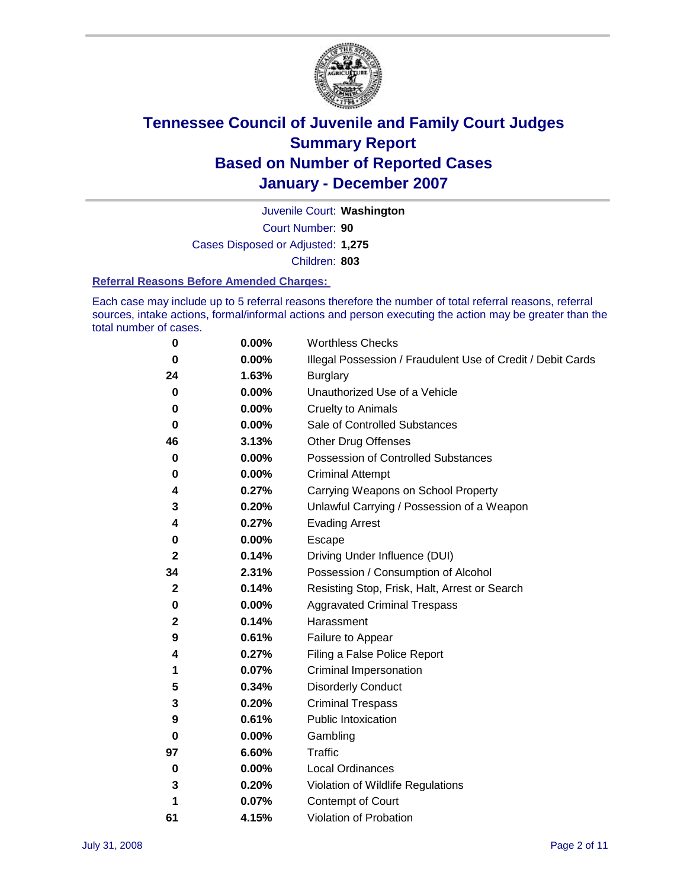

Court Number: **90** Juvenile Court: **Washington** Cases Disposed or Adjusted: **1,275** Children: **803**

#### **Referral Reasons Before Amended Charges:**

Each case may include up to 5 referral reasons therefore the number of total referral reasons, referral sources, intake actions, formal/informal actions and person executing the action may be greater than the total number of cases.

| 0            | 0.00% | <b>Worthless Checks</b>                                     |
|--------------|-------|-------------------------------------------------------------|
| 0            | 0.00% | Illegal Possession / Fraudulent Use of Credit / Debit Cards |
| 24           | 1.63% | <b>Burglary</b>                                             |
| 0            | 0.00% | Unauthorized Use of a Vehicle                               |
| 0            | 0.00% | <b>Cruelty to Animals</b>                                   |
| 0            | 0.00% | Sale of Controlled Substances                               |
| 46           | 3.13% | <b>Other Drug Offenses</b>                                  |
| 0            | 0.00% | <b>Possession of Controlled Substances</b>                  |
| 0            | 0.00% | <b>Criminal Attempt</b>                                     |
| 4            | 0.27% | Carrying Weapons on School Property                         |
| 3            | 0.20% | Unlawful Carrying / Possession of a Weapon                  |
| 4            | 0.27% | <b>Evading Arrest</b>                                       |
| 0            | 0.00% | Escape                                                      |
| 2            | 0.14% | Driving Under Influence (DUI)                               |
| 34           | 2.31% | Possession / Consumption of Alcohol                         |
| $\mathbf{2}$ | 0.14% | Resisting Stop, Frisk, Halt, Arrest or Search               |
| 0            | 0.00% | <b>Aggravated Criminal Trespass</b>                         |
| $\mathbf{2}$ | 0.14% | Harassment                                                  |
| 9            | 0.61% | Failure to Appear                                           |
| 4            | 0.27% | Filing a False Police Report                                |
| 1            | 0.07% | Criminal Impersonation                                      |
| 5            | 0.34% | <b>Disorderly Conduct</b>                                   |
| 3            | 0.20% | <b>Criminal Trespass</b>                                    |
| 9            | 0.61% | <b>Public Intoxication</b>                                  |
| 0            | 0.00% | Gambling                                                    |
| 97           | 6.60% | Traffic                                                     |
| 0            | 0.00% | Local Ordinances                                            |
| 3            | 0.20% | Violation of Wildlife Regulations                           |
| 1            | 0.07% | Contempt of Court                                           |
| 61           | 4.15% | Violation of Probation                                      |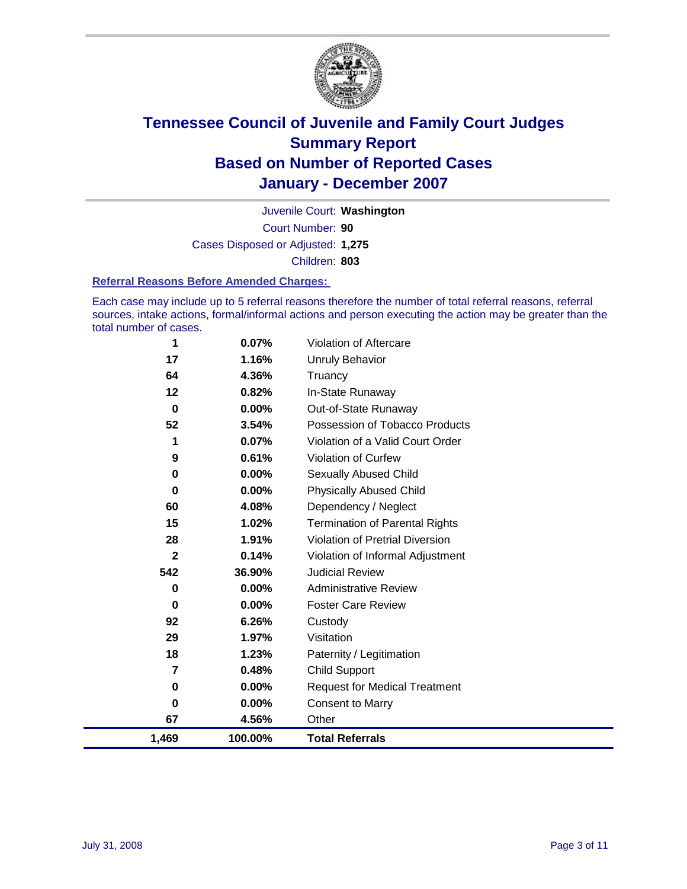

Court Number: **90** Juvenile Court: **Washington** Cases Disposed or Adjusted: **1,275** Children: **803**

#### **Referral Reasons Before Amended Charges:**

Each case may include up to 5 referral reasons therefore the number of total referral reasons, referral sources, intake actions, formal/informal actions and person executing the action may be greater than the total number of cases.

| 1           | 0.07%    | Violation of Aftercare                 |
|-------------|----------|----------------------------------------|
| 17          | 1.16%    | <b>Unruly Behavior</b>                 |
| 64          | 4.36%    | Truancy                                |
| 12          | 0.82%    | In-State Runaway                       |
| 0           | 0.00%    | Out-of-State Runaway                   |
| 52          | 3.54%    | Possession of Tobacco Products         |
| 1           | 0.07%    | Violation of a Valid Court Order       |
| 9           | 0.61%    | Violation of Curfew                    |
| 0           | 0.00%    | <b>Sexually Abused Child</b>           |
| 0           | 0.00%    | <b>Physically Abused Child</b>         |
| 60          | 4.08%    | Dependency / Neglect                   |
| 15          | 1.02%    | <b>Termination of Parental Rights</b>  |
| 28          | 1.91%    | <b>Violation of Pretrial Diversion</b> |
| $\mathbf 2$ | 0.14%    | Violation of Informal Adjustment       |
| 542         | 36.90%   | <b>Judicial Review</b>                 |
| 0           | $0.00\%$ | <b>Administrative Review</b>           |
| 0           | $0.00\%$ | <b>Foster Care Review</b>              |
| 92          | 6.26%    | Custody                                |
| 29          | 1.97%    | Visitation                             |
| 18          | 1.23%    | Paternity / Legitimation               |
| 7           | 0.48%    | <b>Child Support</b>                   |
| 0           | 0.00%    | <b>Request for Medical Treatment</b>   |
| 0           | 0.00%    | <b>Consent to Marry</b>                |
| 67          | 4.56%    | Other                                  |
| 1,469       | 100.00%  | <b>Total Referrals</b>                 |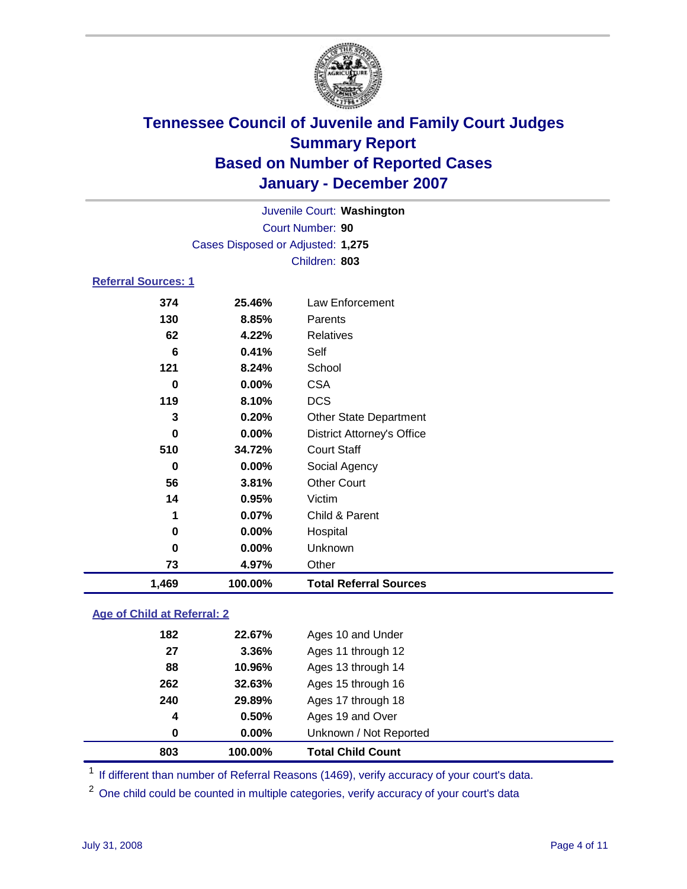

Court Number: **90** Juvenile Court: **Washington** Cases Disposed or Adjusted: **1,275** Children: **803**

### **Referral Sources: 1**

| 1,469 | 100.00% | <b>Total Referral Sources</b>     |
|-------|---------|-----------------------------------|
| 73    | 4.97%   | Other                             |
| 0     | 0.00%   | Unknown                           |
| 0     | 0.00%   | Hospital                          |
| 1     | 0.07%   | Child & Parent                    |
| 14    | 0.95%   | Victim                            |
| 56    | 3.81%   | <b>Other Court</b>                |
| 0     | 0.00%   | Social Agency                     |
| 510   | 34.72%  | <b>Court Staff</b>                |
| 0     | 0.00%   | <b>District Attorney's Office</b> |
| 3     | 0.20%   | <b>Other State Department</b>     |
| 119   | 8.10%   | <b>DCS</b>                        |
| 0     | 0.00%   | <b>CSA</b>                        |
| 121   | 8.24%   | School                            |
| 6     | 0.41%   | Self                              |
| 62    | 4.22%   | Relatives                         |
| 130   | 8.85%   | Parents                           |
| 374   | 25.46%  | Law Enforcement                   |
|       |         |                                   |

### **Age of Child at Referral: 2**

| 803              | 100.00%  | <b>Total Child Count</b> |  |
|------------------|----------|--------------------------|--|
| 0                | $0.00\%$ | Unknown / Not Reported   |  |
| $\boldsymbol{4}$ | 0.50%    | Ages 19 and Over         |  |
| 240              | 29.89%   | Ages 17 through 18       |  |
| 262              | 32.63%   | Ages 15 through 16       |  |
| 88               | 10.96%   | Ages 13 through 14       |  |
| 27               | 3.36%    | Ages 11 through 12       |  |
| 182              | 22.67%   | Ages 10 and Under        |  |
|                  |          |                          |  |

<sup>1</sup> If different than number of Referral Reasons (1469), verify accuracy of your court's data.

<sup>2</sup> One child could be counted in multiple categories, verify accuracy of your court's data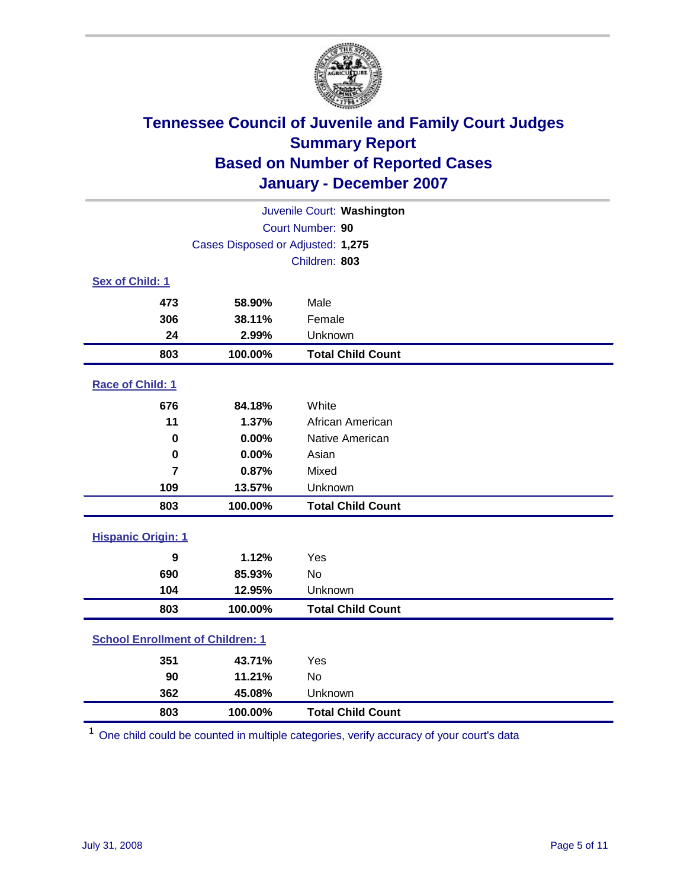

| Juvenile Court: Washington                 |                                   |                          |  |  |  |
|--------------------------------------------|-----------------------------------|--------------------------|--|--|--|
|                                            | Court Number: 90                  |                          |  |  |  |
|                                            | Cases Disposed or Adjusted: 1,275 |                          |  |  |  |
|                                            |                                   | Children: 803            |  |  |  |
| Sex of Child: 1                            |                                   |                          |  |  |  |
| 473                                        | 58.90%                            | Male                     |  |  |  |
| 306                                        | 38.11%                            | Female                   |  |  |  |
| 24                                         | 2.99%                             | Unknown                  |  |  |  |
| 803                                        | 100.00%                           | <b>Total Child Count</b> |  |  |  |
| Race of Child: 1                           |                                   |                          |  |  |  |
| 676                                        | 84.18%                            | White                    |  |  |  |
| 11                                         | 1.37%                             | African American         |  |  |  |
| Native American<br>$\bf{0}$<br>0.00%       |                                   |                          |  |  |  |
| 0.00%<br>Asian<br>$\mathbf 0$              |                                   |                          |  |  |  |
| $\overline{7}$                             | 0.87%                             | Mixed                    |  |  |  |
| 109                                        | 13.57%                            | Unknown                  |  |  |  |
| 803                                        | 100.00%                           | <b>Total Child Count</b> |  |  |  |
| <b>Hispanic Origin: 1</b>                  |                                   |                          |  |  |  |
| 9                                          | 1.12%                             | Yes                      |  |  |  |
| 690                                        | 85.93%                            | <b>No</b>                |  |  |  |
| 104                                        | 12.95%                            | Unknown                  |  |  |  |
| 100.00%<br><b>Total Child Count</b><br>803 |                                   |                          |  |  |  |
| <b>School Enrollment of Children: 1</b>    |                                   |                          |  |  |  |
| 351                                        | 43.71%                            | Yes                      |  |  |  |
| 90                                         | 11.21%                            | <b>No</b>                |  |  |  |
| 362                                        | 45.08%                            | Unknown                  |  |  |  |
| 803<br><b>Total Child Count</b><br>100.00% |                                   |                          |  |  |  |

One child could be counted in multiple categories, verify accuracy of your court's data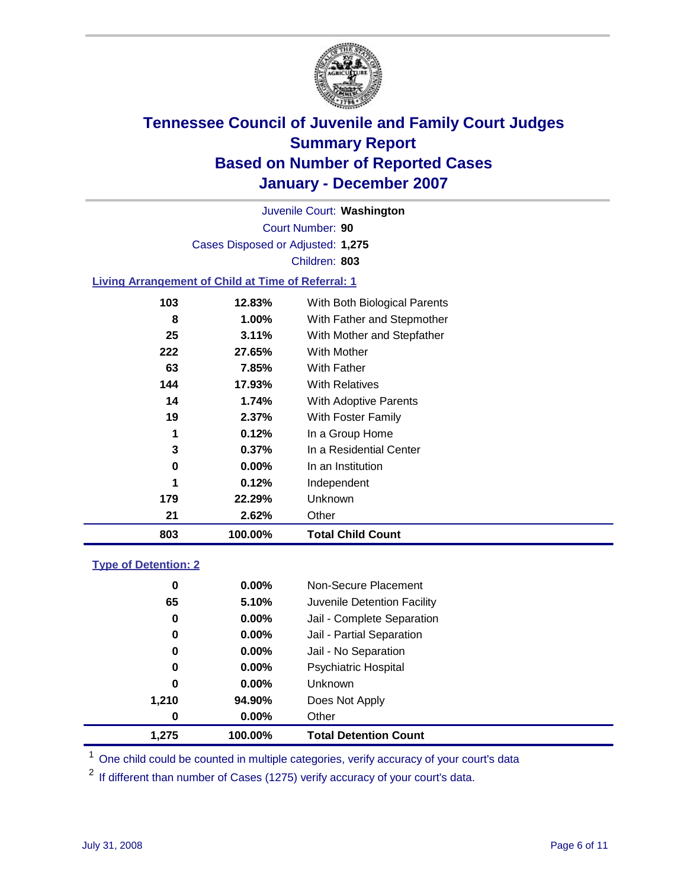

Court Number: **90** Juvenile Court: **Washington** Cases Disposed or Adjusted: **1,275** Children: **803**

#### **Living Arrangement of Child at Time of Referral: 1**

| 803 | 100.00% |                | <b>Total Child Count</b>     |
|-----|---------|----------------|------------------------------|
|     | 21      | 2.62%<br>Other |                              |
| 179 | 22.29%  |                | Unknown                      |
|     | 1       | 0.12%          | Independent                  |
|     | 0       | 0.00%          | In an Institution            |
|     | 3       | $0.37\%$       | In a Residential Center      |
|     | 1       | 0.12%          | In a Group Home              |
|     | 19      | $2.37\%$       | With Foster Family           |
|     | 14      | 1.74%          | <b>With Adoptive Parents</b> |
| 144 | 17.93%  |                | <b>With Relatives</b>        |
|     | 63      | 7.85%          | <b>With Father</b>           |
| 222 | 27.65%  |                | With Mother                  |
|     | 25      | 3.11%          | With Mother and Stepfather   |
|     | 8       | 1.00%          | With Father and Stepmother   |
| 103 | 12.83%  |                | With Both Biological Parents |
|     |         |                |                              |

#### **Type of Detention: 2**

| 1.275 | 100.00%  | <b>Total Detention Count</b> |
|-------|----------|------------------------------|
| 0     | $0.00\%$ | Other                        |
| 1,210 | 94.90%   | Does Not Apply               |
| 0     | $0.00\%$ | <b>Unknown</b>               |
| 0     | 0.00%    | <b>Psychiatric Hospital</b>  |
| 0     | $0.00\%$ | Jail - No Separation         |
| 0     | $0.00\%$ | Jail - Partial Separation    |
| 0     | $0.00\%$ | Jail - Complete Separation   |
| 65    | 5.10%    | Juvenile Detention Facility  |
| 0     | $0.00\%$ | Non-Secure Placement         |
|       |          |                              |

<sup>1</sup> One child could be counted in multiple categories, verify accuracy of your court's data

<sup>2</sup> If different than number of Cases (1275) verify accuracy of your court's data.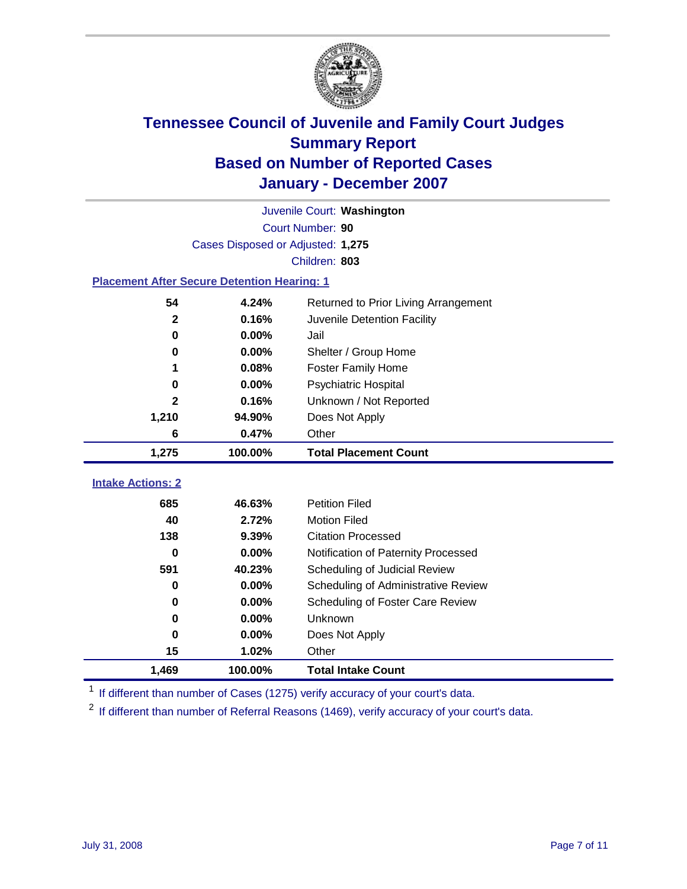

|                                                    | Juvenile Court: Washington        |                                      |  |  |  |  |
|----------------------------------------------------|-----------------------------------|--------------------------------------|--|--|--|--|
|                                                    | Court Number: 90                  |                                      |  |  |  |  |
|                                                    | Cases Disposed or Adjusted: 1,275 |                                      |  |  |  |  |
|                                                    |                                   | Children: 803                        |  |  |  |  |
| <b>Placement After Secure Detention Hearing: 1</b> |                                   |                                      |  |  |  |  |
| 54                                                 | 4.24%                             | Returned to Prior Living Arrangement |  |  |  |  |
| $\mathbf{2}$                                       | 0.16%                             | Juvenile Detention Facility          |  |  |  |  |
| 0                                                  | 0.00%                             | Jail                                 |  |  |  |  |
| 0                                                  | 0.00%                             | Shelter / Group Home                 |  |  |  |  |
| 1                                                  | 0.08%                             | <b>Foster Family Home</b>            |  |  |  |  |
| 0                                                  | 0.00%                             | <b>Psychiatric Hospital</b>          |  |  |  |  |
| 2                                                  | 0.16%                             | Unknown / Not Reported               |  |  |  |  |
| 1,210                                              | Does Not Apply                    |                                      |  |  |  |  |
| 6                                                  | 0.47%<br>Other                    |                                      |  |  |  |  |
| 1,275                                              | 100.00%                           | <b>Total Placement Count</b>         |  |  |  |  |
|                                                    |                                   |                                      |  |  |  |  |
| <b>Intake Actions: 2</b>                           |                                   |                                      |  |  |  |  |
| 685                                                | 46.63%                            | <b>Petition Filed</b>                |  |  |  |  |
| 40                                                 | 2.72%                             | <b>Motion Filed</b>                  |  |  |  |  |
| 138                                                | 9.39%                             | <b>Citation Processed</b>            |  |  |  |  |
| 0                                                  | 0.00%                             | Notification of Paternity Processed  |  |  |  |  |
| 591                                                | 40.23%                            | Scheduling of Judicial Review        |  |  |  |  |
| 0                                                  | 0.00%                             | Scheduling of Administrative Review  |  |  |  |  |
| 0                                                  | 0.00%                             | Scheduling of Foster Care Review     |  |  |  |  |
| 0                                                  | 0.00%                             | Unknown                              |  |  |  |  |
| 0                                                  | 0.00%                             | Does Not Apply                       |  |  |  |  |
| 15                                                 | 1.02%                             | Other                                |  |  |  |  |
| 1,469                                              | 100.00%                           | <b>Total Intake Count</b>            |  |  |  |  |

<sup>1</sup> If different than number of Cases (1275) verify accuracy of your court's data.

<sup>2</sup> If different than number of Referral Reasons (1469), verify accuracy of your court's data.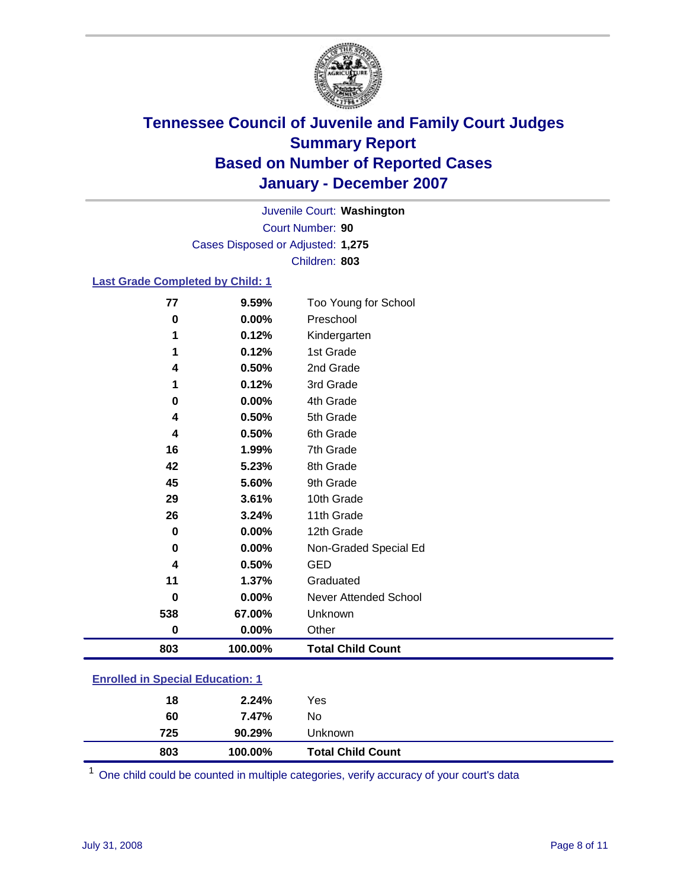

Court Number: **90** Juvenile Court: **Washington** Cases Disposed or Adjusted: **1,275** Children: **803**

### **Last Grade Completed by Child: 1**

| 803      | 100.00% | <b>Total Child Count</b> |
|----------|---------|--------------------------|
| 0        | 0.00%   | Other                    |
| 538      | 67.00%  | Unknown                  |
| $\bf{0}$ | 0.00%   | Never Attended School    |
| 11       | 1.37%   | Graduated                |
| 4        | 0.50%   | <b>GED</b>               |
| 0        | 0.00%   | Non-Graded Special Ed    |
| 0        | 0.00%   | 12th Grade               |
| 26       | 3.24%   | 11th Grade               |
| 29       | 3.61%   | 10th Grade               |
| 45       | 5.60%   | 9th Grade                |
| 42       | 5.23%   | 8th Grade                |
| 16       | 1.99%   | 7th Grade                |
| 4        | 0.50%   | 6th Grade                |
| 4        | 0.50%   | 5th Grade                |
| 0        | 0.00%   | 4th Grade                |
|          | 0.12%   | 3rd Grade                |
| 4        | 0.50%   | 2nd Grade                |
|          | 0.12%   | 1st Grade                |
|          | 0.12%   | Kindergarten             |
| 0        | 0.00%   | Preschool                |
| 77       | 9.59%   | Too Young for School     |

### **Enrolled in Special Education: 1**

| 803<br>100.00% | <b>Total Child Count</b> |
|----------------|--------------------------|
| 725<br>90.29%  | Unknown                  |
| 60<br>7.47%    | No                       |
| 2.24%<br>18    | Yes                      |

<sup>1</sup> One child could be counted in multiple categories, verify accuracy of your court's data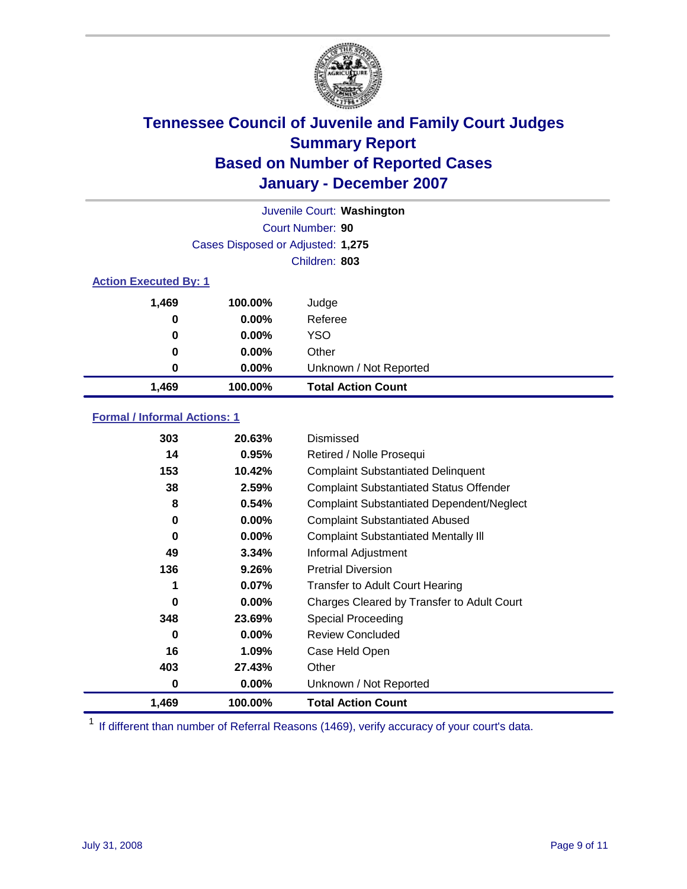

| Juvenile Court: Washington   |                                   |                           |  |
|------------------------------|-----------------------------------|---------------------------|--|
|                              |                                   | Court Number: 90          |  |
|                              | Cases Disposed or Adjusted: 1,275 |                           |  |
|                              |                                   | Children: 803             |  |
| <b>Action Executed By: 1</b> |                                   |                           |  |
| 1,469                        | 100.00%                           | Judge                     |  |
| 0                            | $0.00\%$                          | Referee                   |  |
| 0                            | $0.00\%$                          | <b>YSO</b>                |  |
| 0                            | $0.00\%$                          | Other                     |  |
| 0                            | $0.00\%$                          | Unknown / Not Reported    |  |
| 1,469                        | 100.00%                           | <b>Total Action Count</b> |  |

### **Formal / Informal Actions: 1**

| 303   | 20.63%   | Dismissed                                        |
|-------|----------|--------------------------------------------------|
| 14    | 0.95%    | Retired / Nolle Prosequi                         |
| 153   | 10.42%   | <b>Complaint Substantiated Delinquent</b>        |
| 38    | 2.59%    | <b>Complaint Substantiated Status Offender</b>   |
| 8     | 0.54%    | <b>Complaint Substantiated Dependent/Neglect</b> |
| 0     | $0.00\%$ | <b>Complaint Substantiated Abused</b>            |
| 0     | $0.00\%$ | <b>Complaint Substantiated Mentally III</b>      |
| 49    | 3.34%    | Informal Adjustment                              |
| 136   | 9.26%    | <b>Pretrial Diversion</b>                        |
| 1     | 0.07%    | <b>Transfer to Adult Court Hearing</b>           |
| 0     | $0.00\%$ | Charges Cleared by Transfer to Adult Court       |
| 348   | 23.69%   | Special Proceeding                               |
| 0     | $0.00\%$ | <b>Review Concluded</b>                          |
| 16    | 1.09%    | Case Held Open                                   |
| 403   | 27.43%   | Other                                            |
| 0     | $0.00\%$ | Unknown / Not Reported                           |
| 1,469 | 100.00%  | <b>Total Action Count</b>                        |

<sup>1</sup> If different than number of Referral Reasons (1469), verify accuracy of your court's data.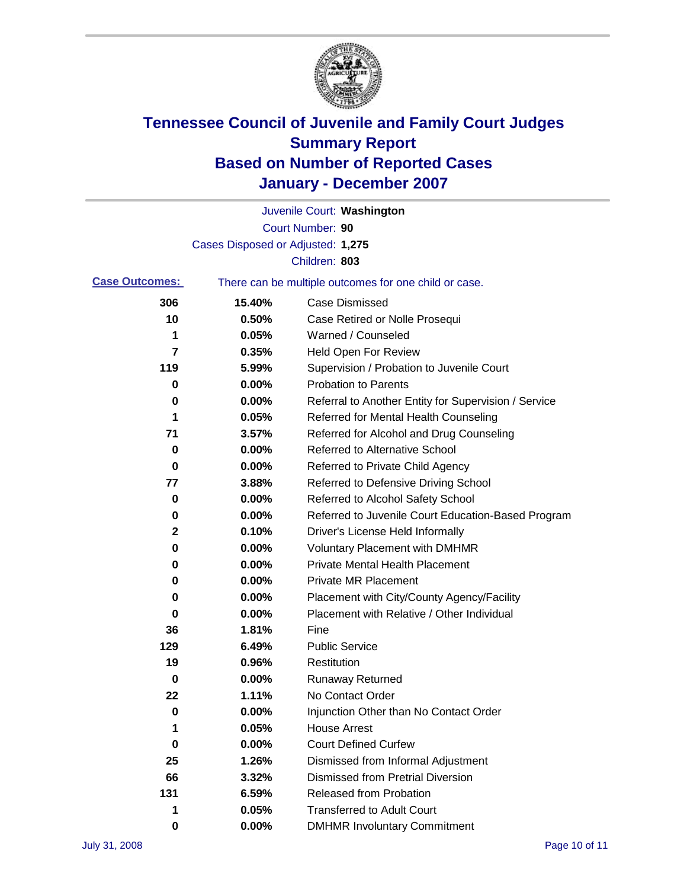

|                       |                                   | Juvenile Court: Washington                            |
|-----------------------|-----------------------------------|-------------------------------------------------------|
|                       |                                   | Court Number: 90                                      |
|                       | Cases Disposed or Adjusted: 1,275 |                                                       |
|                       |                                   | Children: 803                                         |
| <b>Case Outcomes:</b> |                                   | There can be multiple outcomes for one child or case. |
| 306                   | 15.40%                            | <b>Case Dismissed</b>                                 |
| 10                    | 0.50%                             | Case Retired or Nolle Prosequi                        |
| 1                     | 0.05%                             | Warned / Counseled                                    |
| 7                     | 0.35%                             | <b>Held Open For Review</b>                           |
| 119                   | 5.99%                             | Supervision / Probation to Juvenile Court             |
| 0                     | 0.00%                             | <b>Probation to Parents</b>                           |
| 0                     | 0.00%                             | Referral to Another Entity for Supervision / Service  |
| 1                     | 0.05%                             | Referred for Mental Health Counseling                 |
| 71                    | 3.57%                             | Referred for Alcohol and Drug Counseling              |
| 0                     | 0.00%                             | <b>Referred to Alternative School</b>                 |
| 0                     | 0.00%                             | Referred to Private Child Agency                      |
| 77                    | 3.88%                             | Referred to Defensive Driving School                  |
| 0                     | 0.00%                             | Referred to Alcohol Safety School                     |
| 0                     | 0.00%                             | Referred to Juvenile Court Education-Based Program    |
| 2                     | 0.10%                             | Driver's License Held Informally                      |
| 0                     | 0.00%                             | <b>Voluntary Placement with DMHMR</b>                 |
| 0                     | 0.00%                             | <b>Private Mental Health Placement</b>                |
| 0                     | 0.00%                             | <b>Private MR Placement</b>                           |
| 0                     | 0.00%                             | Placement with City/County Agency/Facility            |
| 0                     | 0.00%                             | Placement with Relative / Other Individual            |
| 36                    | 1.81%                             | Fine                                                  |
| 129                   | 6.49%                             | <b>Public Service</b>                                 |
| 19                    | 0.96%                             | Restitution                                           |
| 0                     | 0.00%                             | <b>Runaway Returned</b>                               |
| 22                    | 1.11%                             | No Contact Order                                      |
| 0                     | $0.00\%$                          | Injunction Other than No Contact Order                |
| 1                     | 0.05%                             | <b>House Arrest</b>                                   |
| 0                     | 0.00%                             | <b>Court Defined Curfew</b>                           |
| 25                    | 1.26%                             | Dismissed from Informal Adjustment                    |
| 66                    | 3.32%                             | <b>Dismissed from Pretrial Diversion</b>              |
| 131                   | 6.59%                             | <b>Released from Probation</b>                        |
| 1                     | 0.05%                             | <b>Transferred to Adult Court</b>                     |
| 0                     | 0.00%                             | <b>DMHMR Involuntary Commitment</b>                   |